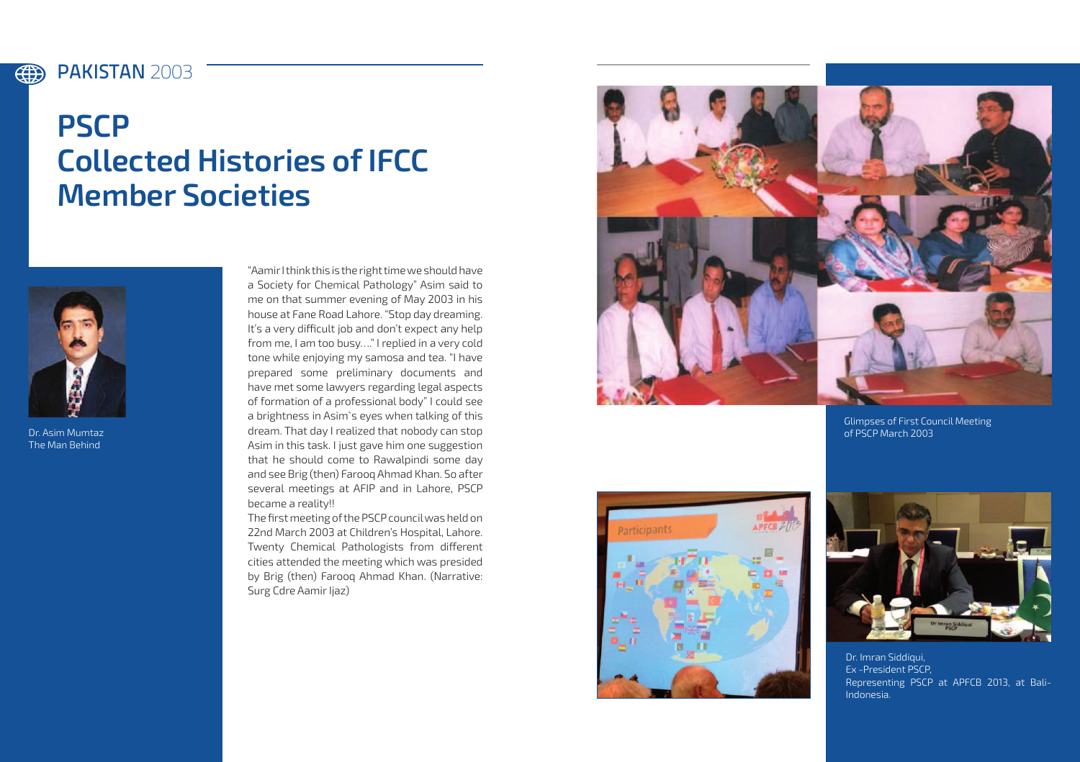#### 4 PAKISTAN **2003**

# **PSCP Collected Histories of IFCC Member Societies**



Dr. Asim Mumtaz The Man Behind

"Aamir I think this is the right time we should have a Society for Chemical Pathology" Asim said to me on that summer evening of May 2003 in his house at Fane Road Lahore. "Stop day dreaming. It's a very difficult job and don't expect any help from me, I am too busy…." I replied in a very cold tone while enjoying my samosa and tea. "I have prepared some preliminary documents and have met some lawyers regarding legal aspects of formation of a professional body" I could see a brightness in Asim`s eyes when talking of this dream. That day I realized that nobody can stop Asim in this task. I just gave him one suggestion that he should come to Rawalpindi some day and see Brig (then) Farooq Ahmad Khan. So after several meetings at AFIP and in Lahore, PSCP became a reality!!

The first meeting of the PSCP council was held on 22nd March 2003 at Children's Hospital, Lahore. Twenty Chemical Pathologists from different cities attended the meeting which was presided by Brig (then) Farooq Ahmad Khan. (Narrative: Surg Cdre Aamir Ijaz)



Glimpses of First Council Meeting of PSCP March 2003





Dr. Imran Siddiqui, Ex -President PSCP, Representing PSCP at APFCB 2013, at Bali-Indonesia.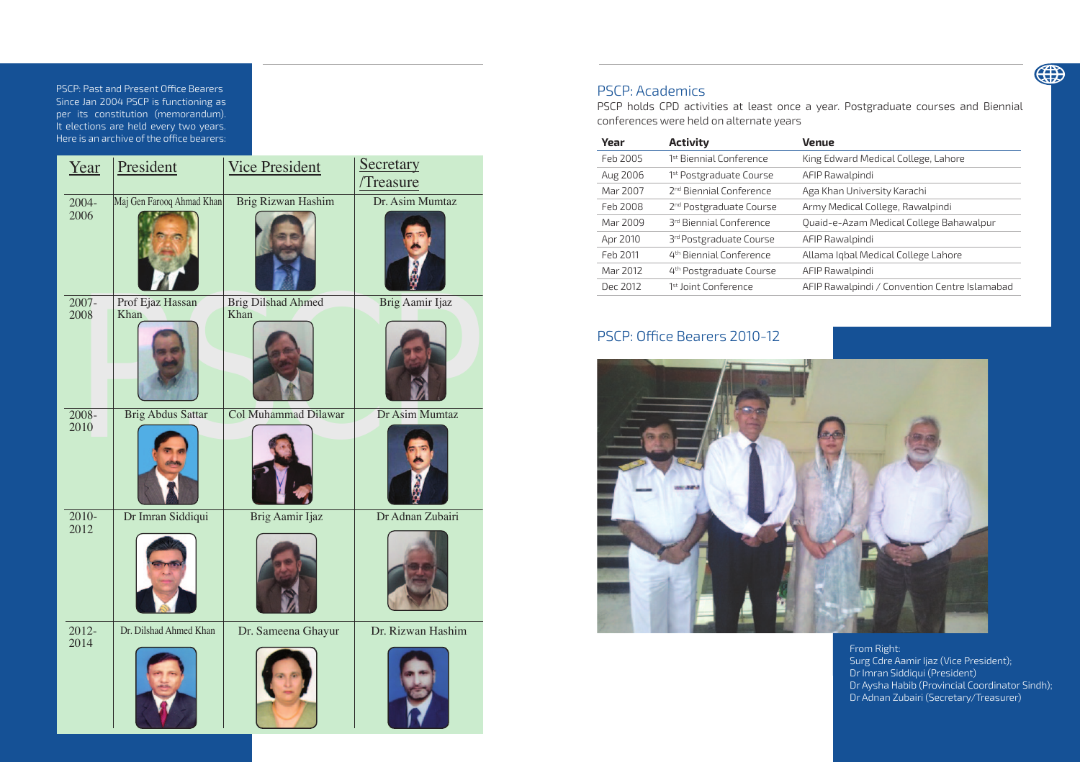PSCP: Past and Present Office Bearers **PSCP: Past and Present Office Bearers** Since Jan 2004 PSCP is functioning as per its constitution (memorandum). It elections are held every two years. It elections are held every two years.<br>Here is an archive of the office bearers: of the office bearers: Control to the office bearers: Control to the control of the control of the control of <br>Second the control of the control of the control of the control of the control of the control of the control of

| Year             | President                 | <b>Vice President</b>             | Secretary         |
|------------------|---------------------------|-----------------------------------|-------------------|
|                  |                           |                                   | Treasure          |
| 2004-<br>2006    | Maj Gen Farooq Ahmad Khan | <b>Brig Rizwan Hashim</b>         | Dr. Asim Mumtaz   |
| $2007 -$<br>2008 | Prof Ejaz Hassan<br>Khan  | <b>Brig Dilshad Ahmed</b><br>Khan | Brig Aamir Ijaz   |
| $2008 -$<br>2010 | <b>Brig Abdus Sattar</b>  | <b>Col Muhammad Dilawar</b>       | Dr Asim Mumtaz    |
| $2010-$<br>2012  | Dr Imran Siddiqui         | Brig Aamir Ijaz                   | Dr Adnan Zubairi  |
| $2012 -$<br>2014 | Dr. Dilshad Ahmed Khan    | Dr. Sameena Ghayur                | Dr. Rizwan Hashim |

## PSCP: Academics

PSCP holds CPD activities at least once a year. Postgraduate courses and Biennial conferences were held on alternate years

| Year     | <b>Activity</b>                     | Venue                                         |
|----------|-------------------------------------|-----------------------------------------------|
| Feb 2005 | 1 <sup>st</sup> Biennial Conference | King Edward Medical College, Lahore           |
| Aug 2006 | 1 <sup>st</sup> Postgraduate Course | AFIP Rawalpindi                               |
| Mar 2007 | 2 <sup>nd</sup> Biennial Conference | Aga Khan University Karachi                   |
| Feb 2008 | 2 <sup>nd</sup> Postgraduate Course | Army Medical College, Rawalpindi              |
| Mar 2009 | 3rd Biennial Conference             | Quaid-e-Azam Medical College Bahawalpur       |
| Apr 2010 | 3rd Postgraduate Course             | AFIP Rawalpindi                               |
| Feb 2011 | 4 <sup>th</sup> Biennial Conference | Allama Iqbal Medical College Lahore           |
| Mar 2012 | 4 <sup>th</sup> Postgraduate Course | AFIP Rawalpindi                               |
| Dec 2012 | <sup>1st</sup> Joint Conference     | AFIP Rawalpindi / Convention Centre Islamabad |
|          |                                     |                                               |

## PSCP: Office Bearers 2010-12



From Right: Surg Cdre Aamir Ijaz (Vice President); Dr Imran Siddiqui (President) Dr Aysha Habib (Provincial Coordinator Sindh); Dr Adnan Zubairi (Secretary/Treasurer)

4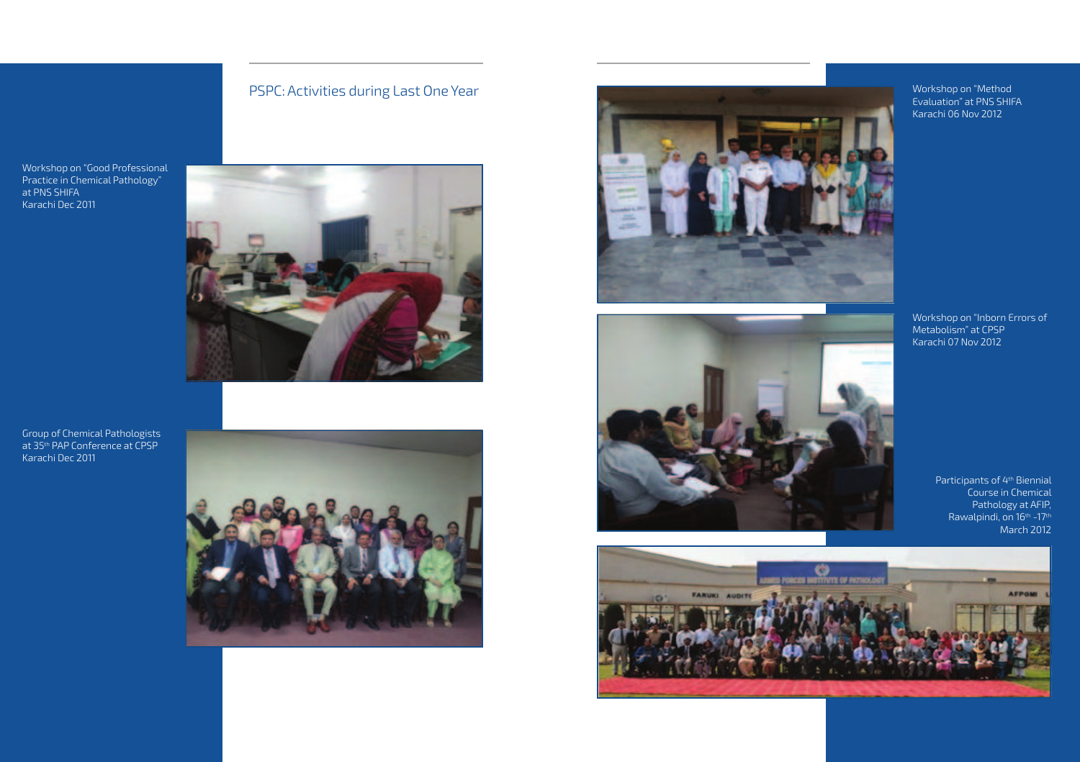## PSPC: Activities during Last One Year

Workshop on "Good Professional Practice in Chemical Pathology" at PNS SHIFA Karachi Dec 2011



Group of Chemical Pathologists at 35<sup>th</sup> PAP Conference at CPSP Karachi Dec 2011







Workshop on "Method Evaluation" at PNS SHIFA Karachi 06 Nov 2012

Workshop on "Inborn Errors of Metabolism" at CPSP Karachi 07 Nov 2012

Participants of 4th Biennial Course in Chemical Pathology at AFIP, Rawalpindi, on 16<sup>th</sup> -17<sup>th</sup> March 2012

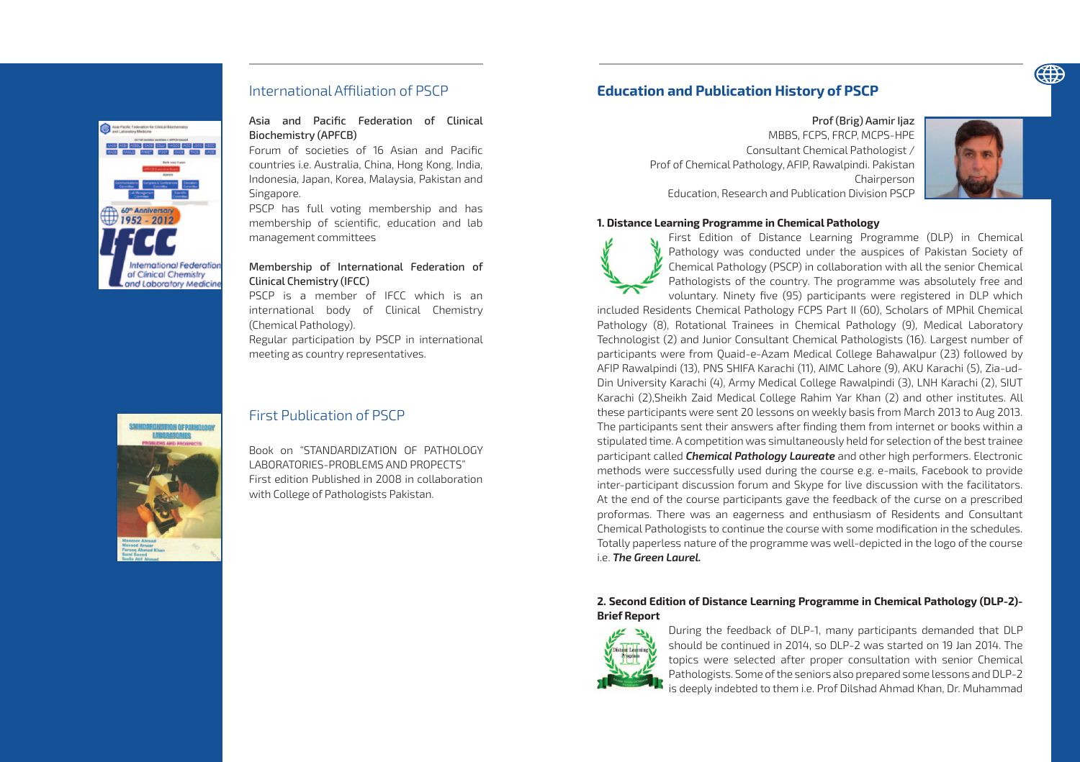

## International Affiliation of PSCP

60<sup>m</sup> Anniversary<br>1952 - 2012 60<sup>m</sup> Anniversary **International Federation** of Clinical Chemistry and Laboratory Medicine

#### Asia and Pacific Federation of Clinical Biochemistry (APFCB)

Forum of societies of 16 Asian and Pacific countries i.e. Australia, China, Hong Kong, India, Indonesia, Japan, Korea, Malaysia, Pakistan and Singapore.

PSCP has full voting membership and has membership of scientific, education and lab management committees

## Membership of International Federation of Clinical Chemistry (IFCC)

PSCP is a member of IFCC which is an international body of Clinical Chemistry (Chemical Pathology). Regular participation by PSCP in international

meeting as country representatives.



## First Publication of PSCP

Book on "STANDARDIZATION OF PATHOLOGY LABORATORIES-PROBLEMS AND PROPECTS" First edition Published in 2008 in collaboration with College of Pathologists Pakistan.

## **Education and Publication History of PSCP**

Prof (Brig) Aamir Ijaz MBBS, FCPS, FRCP, MCPS-HPE Consultant Chemical Pathologist / Prof of Chemical Pathology, AFIP, Rawalpindi. Pakistan Chairnerson Education, Research and Publication Division PSCP



#### **1. Distance Learning Programme in Chemical Pathology**

First Edition of Distance Learning Programme (DLP) in Chemical Pathology was conducted under the auspices of Pakistan Society of Chemical Pathology (PSCP) in collaboration with all the senior Chemical Pathologists of the country. The programme was absolutely free and voluntary. Ninety five (95) participants were registered in DLP which

included Residents Chemical Pathology FCPS Part II (60), Scholars of MPhil Chemical Pathology (8), Rotational Trainees in Chemical Pathology (9), Medical Laboratory Technologist (2) and Junior Consultant Chemical Pathologists (16). Largest number of participants were from Quaid-e-Azam Medical College Bahawalpur (23) followed by AFIP Rawalpindi (13), PNS SHIFA Karachi (11), AIMC Lahore (9), AKU Karachi (5), Zia-ud-Din University Karachi (4), Army Medical College Rawalpindi (3), LNH Karachi (2), SIUT Karachi (2),Sheikh Zaid Medical College Rahim Yar Khan (2) and other institutes. All these participants were sent 20 lessons on weekly basis from March 2013 to Aug 2013. The participants sent their answers after finding them from internet or books within a stipulated time. A competition was simultaneously held for selection of the best trainee participant called *Chemical Pathology Laureate* and other high performers. Electronic methods were successfully used during the course e.g. e-mails, Facebook to provide inter-participant discussion forum and Skype for live discussion with the facilitators. At the end of the course participants gave the feedback of the curse on a prescribed proformas. There was an eagerness and enthusiasm of Residents and Consultant Chemical Pathologists to continue the course with some modification in the schedules. Totally paperless nature of the programme was well-depicted in the logo of the course i.e. *The Green Laurel.*

## **2. Second Edition of Distance Learning Programme in Chemical Pathology (DLP-2)- Brief Report**



During the feedback of DLP-1, many participants demanded that DLP should be continued in 2014, so DLP-2 was started on 19 Jan 2014. The topics were selected after proper consultation with senior Chemical Pathologists. Some of the seniors also prepared some lessons and DLP-2 is deeply indebted to them i.e. Prof Dilshad Ahmad Khan, Dr. Muhammad